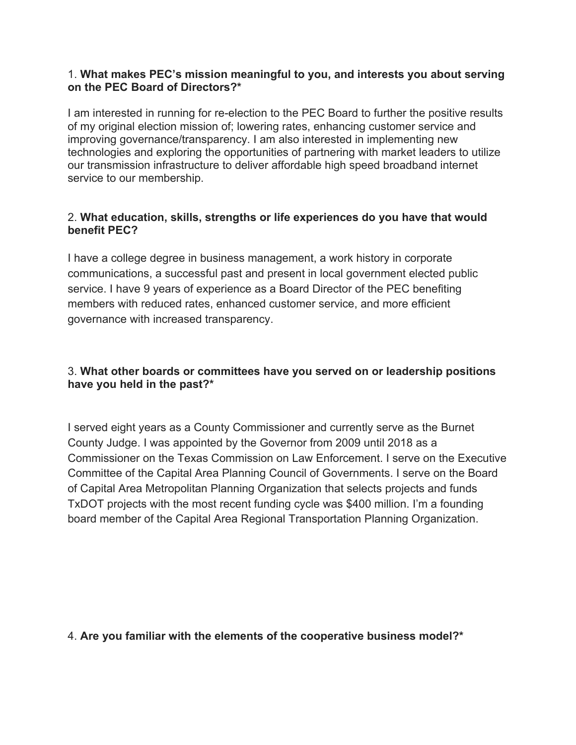#### 1. **What makes PEC's mission meaningful to you, and interests you about serving on the PEC Board of Directors?\***

I am interested in running for re-election to the PEC Board to further the positive results of my original election mission of; lowering rates, enhancing customer service and improving governance/transparency. I am also interested in implementing new technologies and exploring the opportunities of partnering with market leaders to utilize our transmission infrastructure to deliver affordable high speed broadband internet service to our membership.

## 2. **What education, skills, strengths or life experiences do you have that would benefit PEC?**

I have a college degree in business management, a work history in corporate communications, a successful past and present in local government elected public service. I have 9 years of experience as a Board Director of the PEC benefiting members with reduced rates, enhanced customer service, and more efficient governance with increased transparency.

# 3. **What other boards or committees have you served on or leadership positions have you held in the past?\***

I served eight years as a County Commissioner and currently serve as the Burnet County Judge. I was appointed by the Governor from 2009 until 2018 as a Commissioner on the Texas Commission on Law Enforcement. I serve on the Executive Committee of the Capital Area Planning Council of Governments. I serve on the Board of Capital Area Metropolitan Planning Organization that selects projects and funds TxDOT projects with the most recent funding cycle was \$400 million. I'm a founding board member of the Capital Area Regional Transportation Planning Organization.

## 4. **Are you familiar with the elements of the cooperative business model?\***